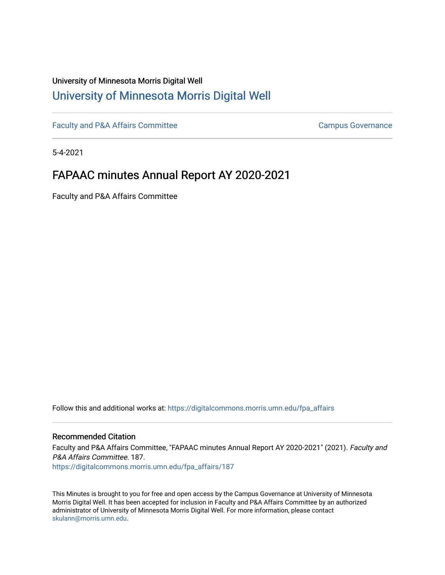# University of Minnesota Morris Digital Well [University of Minnesota Morris Digital Well](https://digitalcommons.morris.umn.edu/)

[Faculty and P&A Affairs Committee](https://digitalcommons.morris.umn.edu/fpa_affairs) [Campus Governance](https://digitalcommons.morris.umn.edu/campgov) Campus Governance

5-4-2021

# FAPAAC minutes Annual Report AY 2020-2021

Faculty and P&A Affairs Committee

Follow this and additional works at: [https://digitalcommons.morris.umn.edu/fpa\\_affairs](https://digitalcommons.morris.umn.edu/fpa_affairs?utm_source=digitalcommons.morris.umn.edu%2Ffpa_affairs%2F187&utm_medium=PDF&utm_campaign=PDFCoverPages)

#### Recommended Citation

Faculty and P&A Affairs Committee, "FAPAAC minutes Annual Report AY 2020-2021" (2021). Faculty and P&A Affairs Committee. 187.

[https://digitalcommons.morris.umn.edu/fpa\\_affairs/187](https://digitalcommons.morris.umn.edu/fpa_affairs/187?utm_source=digitalcommons.morris.umn.edu%2Ffpa_affairs%2F187&utm_medium=PDF&utm_campaign=PDFCoverPages)

This Minutes is brought to you for free and open access by the Campus Governance at University of Minnesota Morris Digital Well. It has been accepted for inclusion in Faculty and P&A Affairs Committee by an authorized administrator of University of Minnesota Morris Digital Well. For more information, please contact [skulann@morris.umn.edu.](mailto:skulann@morris.umn.edu)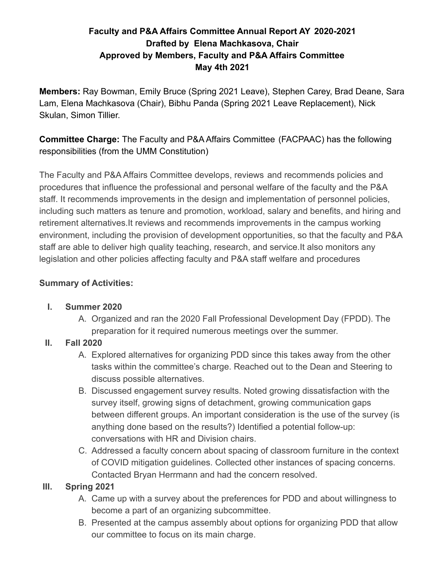# **Faculty and P&A Affairs Committee Annual Report AY 2020-2021 Drafted by Elena Machkasova, Chair Approved by Members, Faculty and P&A Affairs Committee May 4th 2021**

**Members:** Ray Bowman, Emily Bruce (Spring 2021 Leave), Stephen Carey, Brad Deane, Sara Lam, Elena Machkasova (Chair), Bibhu Panda (Spring 2021 Leave Replacement), Nick Skulan, Simon Tillier.

**Committee Charge:** The Faculty and P&A Affairs Committee (FACPAAC) has the following responsibilities (from the UMM Constitution)

The Faculty and P&A Affairs Committee develops, reviews and recommends policies and procedures that influence the professional and personal welfare of the faculty and the P&A staff. It recommends improvements in the design and implementation of personnel policies, including such matters as tenure and promotion, workload, salary and benefits, and hiring and retirement alternatives.It reviews and recommends improvements in the campus working environment, including the provision of development opportunities, so that the faculty and P&A staff are able to deliver high quality teaching, research, and service.It also monitors any legislation and other policies affecting faculty and P&A staff welfare and procedures

### **Summary of Activities:**

#### **I. Summer 2020**

A. Organized and ran the 2020 Fall Professional Development Day (FPDD). The preparation for it required numerous meetings over the summer.

# **II. Fall 2020**

- A. Explored alternatives for organizing PDD since this takes away from the other tasks within the committee's charge. Reached out to the Dean and Steering to discuss possible alternatives.
- B. Discussed engagement survey results. Noted growing dissatisfaction with the survey itself, growing signs of detachment, growing communication gaps between different groups. An important consideration is the use of the survey (is anything done based on the results?) Identified a potential follow-up: conversations with HR and Division chairs.
- C. Addressed a faculty concern about spacing of classroom furniture in the context of COVID mitigation guidelines. Collected other instances of spacing concerns. Contacted Bryan Herrmann and had the concern resolved.

# **III. Spring 2021**

- A. Came up with a survey about the preferences for PDD and about willingness to become a part of an organizing subcommittee.
- B. Presented at the campus assembly about options for organizing PDD that allow our committee to focus on its main charge.